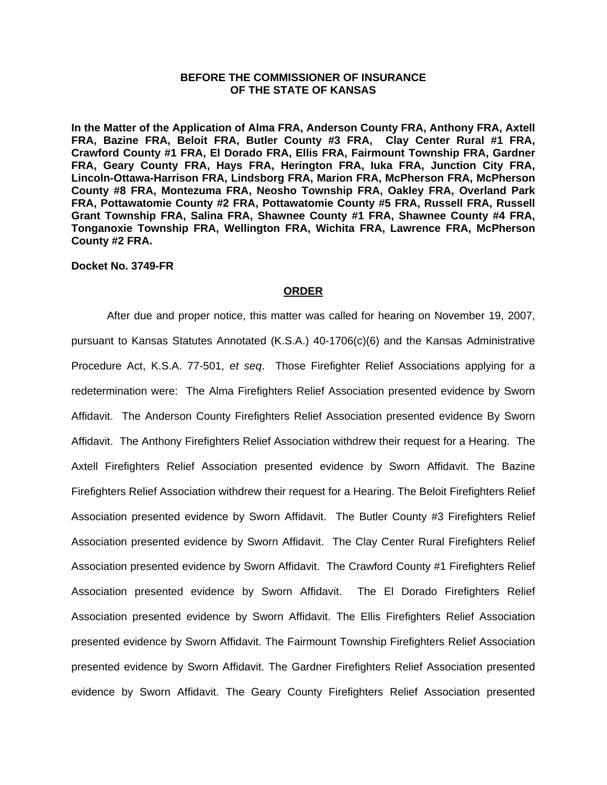## **BEFORE THE COMMISSIONER OF INSURANCE OF THE STATE OF KANSAS**

**In the Matter of the Application of Alma FRA, Anderson County FRA, Anthony FRA, Axtell FRA, Bazine FRA, Beloit FRA, Butler County #3 FRA, Clay Center Rural #1 FRA, Crawford County #1 FRA, El Dorado FRA, Ellis FRA, Fairmount Township FRA, Gardner FRA, Geary County FRA, Hays FRA, Herington FRA, Iuka FRA, Junction City FRA, Lincoln-Ottawa-Harrison FRA, Lindsborg FRA, Marion FRA, McPherson FRA, McPherson County #8 FRA, Montezuma FRA, Neosho Township FRA, Oakley FRA, Overland Park FRA, Pottawatomie County #2 FRA, Pottawatomie County #5 FRA, Russell FRA, Russell Grant Township FRA, Salina FRA, Shawnee County #1 FRA, Shawnee County #4 FRA, Tonganoxie Township FRA, Wellington FRA, Wichita FRA, Lawrence FRA, McPherson County #2 FRA.** 

#### **Docket No. 3749-FR**

#### **ORDER**

 After due and proper notice, this matter was called for hearing on November 19, 2007, pursuant to Kansas Statutes Annotated (K.S.A.) 40-1706(c)(6) and the Kansas Administrative Procedure Act, K.S.A. 77-501, *et seq*.Those Firefighter Relief Associations applying for a redetermination were: The Alma Firefighters Relief Association presented evidence by Sworn Affidavit. The Anderson County Firefighters Relief Association presented evidence By Sworn Affidavit. The Anthony Firefighters Relief Association withdrew their request for a Hearing. The Axtell Firefighters Relief Association presented evidence by Sworn Affidavit. The Bazine Firefighters Relief Association withdrew their request for a Hearing. The Beloit Firefighters Relief Association presented evidence by Sworn Affidavit. The Butler County #3 Firefighters Relief Association presented evidence by Sworn Affidavit. The Clay Center Rural Firefighters Relief Association presented evidence by Sworn Affidavit. The Crawford County #1 Firefighters Relief Association presented evidence by Sworn Affidavit. The El Dorado Firefighters Relief Association presented evidence by Sworn Affidavit. The Ellis Firefighters Relief Association presented evidence by Sworn Affidavit. The Fairmount Township Firefighters Relief Association presented evidence by Sworn Affidavit. The Gardner Firefighters Relief Association presented evidence by Sworn Affidavit. The Geary County Firefighters Relief Association presented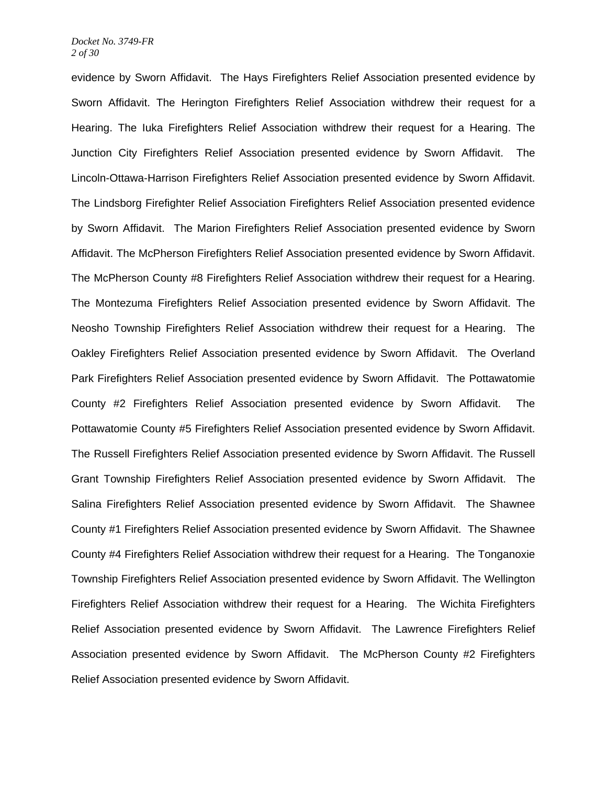evidence by Sworn Affidavit. The Hays Firefighters Relief Association presented evidence by Sworn Affidavit. The Herington Firefighters Relief Association withdrew their request for a Hearing. The Iuka Firefighters Relief Association withdrew their request for a Hearing. The Junction City Firefighters Relief Association presented evidence by Sworn Affidavit. The Lincoln-Ottawa-Harrison Firefighters Relief Association presented evidence by Sworn Affidavit. The Lindsborg Firefighter Relief Association Firefighters Relief Association presented evidence by Sworn Affidavit. The Marion Firefighters Relief Association presented evidence by Sworn Affidavit. The McPherson Firefighters Relief Association presented evidence by Sworn Affidavit. The McPherson County #8 Firefighters Relief Association withdrew their request for a Hearing. The Montezuma Firefighters Relief Association presented evidence by Sworn Affidavit. The Neosho Township Firefighters Relief Association withdrew their request for a Hearing. The Oakley Firefighters Relief Association presented evidence by Sworn Affidavit. The Overland Park Firefighters Relief Association presented evidence by Sworn Affidavit. The Pottawatomie County #2 Firefighters Relief Association presented evidence by Sworn Affidavit. The Pottawatomie County #5 Firefighters Relief Association presented evidence by Sworn Affidavit. The Russell Firefighters Relief Association presented evidence by Sworn Affidavit. The Russell Grant Township Firefighters Relief Association presented evidence by Sworn Affidavit. The Salina Firefighters Relief Association presented evidence by Sworn Affidavit. The Shawnee County #1 Firefighters Relief Association presented evidence by Sworn Affidavit. The Shawnee County #4 Firefighters Relief Association withdrew their request for a Hearing. The Tonganoxie Township Firefighters Relief Association presented evidence by Sworn Affidavit. The Wellington Firefighters Relief Association withdrew their request for a Hearing. The Wichita Firefighters Relief Association presented evidence by Sworn Affidavit. The Lawrence Firefighters Relief Association presented evidence by Sworn Affidavit. The McPherson County #2 Firefighters Relief Association presented evidence by Sworn Affidavit.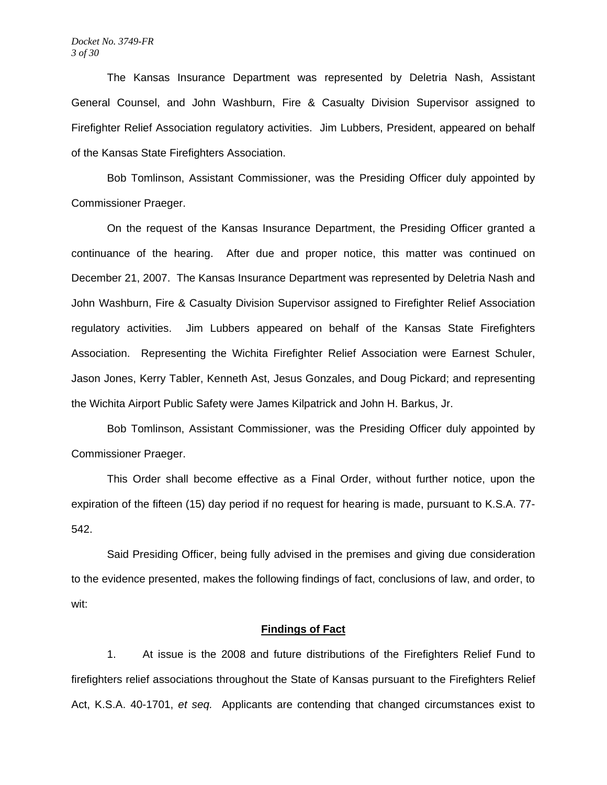#### *Docket No. 3749-FR 3 of 30*

 The Kansas Insurance Department was represented by Deletria Nash, Assistant General Counsel, and John Washburn, Fire & Casualty Division Supervisor assigned to Firefighter Relief Association regulatory activities. Jim Lubbers, President, appeared on behalf of the Kansas State Firefighters Association.

 Bob Tomlinson, Assistant Commissioner, was the Presiding Officer duly appointed by Commissioner Praeger.

 On the request of the Kansas Insurance Department, the Presiding Officer granted a continuance of the hearing. After due and proper notice, this matter was continued on December 21, 2007. The Kansas Insurance Department was represented by Deletria Nash and John Washburn, Fire & Casualty Division Supervisor assigned to Firefighter Relief Association regulatory activities. Jim Lubbers appeared on behalf of the Kansas State Firefighters Association. Representing the Wichita Firefighter Relief Association were Earnest Schuler, Jason Jones, Kerry Tabler, Kenneth Ast, Jesus Gonzales, and Doug Pickard; and representing the Wichita Airport Public Safety were James Kilpatrick and John H. Barkus, Jr.

 Bob Tomlinson, Assistant Commissioner, was the Presiding Officer duly appointed by Commissioner Praeger.

This Order shall become effective as a Final Order, without further notice, upon the expiration of the fifteen (15) day period if no request for hearing is made, pursuant to K.S.A. 77- 542.

 Said Presiding Officer, being fully advised in the premises and giving due consideration to the evidence presented, makes the following findings of fact, conclusions of law, and order, to wit:

# **Findings of Fact**

 1. At issue is the 2008 and future distributions of the Firefighters Relief Fund to firefighters relief associations throughout the State of Kansas pursuant to the Firefighters Relief Act, K.S.A. 40-1701, *et seq.* Applicants are contending that changed circumstances exist to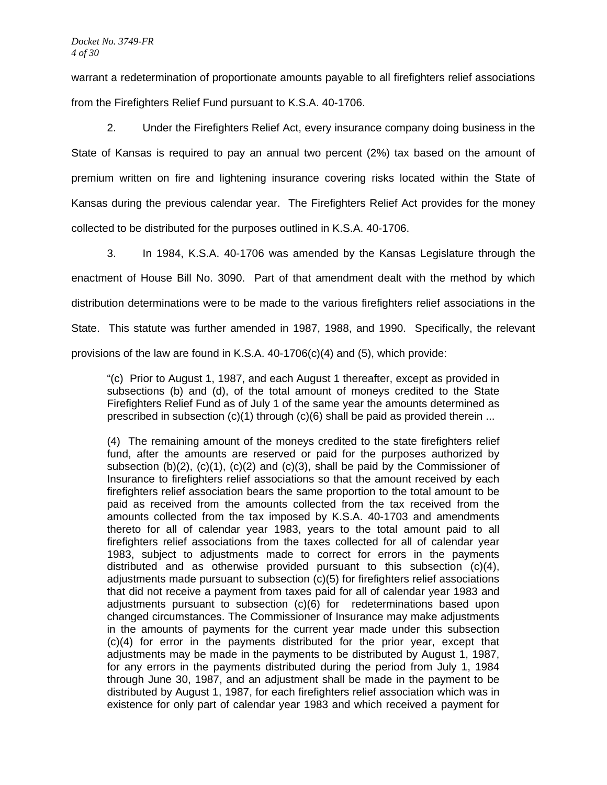warrant a redetermination of proportionate amounts payable to all firefighters relief associations from the Firefighters Relief Fund pursuant to K.S.A. 40-1706.

 2. Under the Firefighters Relief Act, every insurance company doing business in the State of Kansas is required to pay an annual two percent (2%) tax based on the amount of premium written on fire and lightening insurance covering risks located within the State of Kansas during the previous calendar year. The Firefighters Relief Act provides for the money collected to be distributed for the purposes outlined in K.S.A. 40-1706.

 3. In 1984, K.S.A. 40-1706 was amended by the Kansas Legislature through the enactment of House Bill No. 3090. Part of that amendment dealt with the method by which distribution determinations were to be made to the various firefighters relief associations in the State. This statute was further amended in 1987, 1988, and 1990. Specifically, the relevant provisions of the law are found in K.S.A. 40-1706(c)(4) and (5), which provide:

"(c) Prior to August 1, 1987, and each August 1 thereafter, except as provided in subsections (b) and (d), of the total amount of moneys credited to the State Firefighters Relief Fund as of July 1 of the same year the amounts determined as prescribed in subsection  $(c)(1)$  through  $(c)(6)$  shall be paid as provided therein ...

(4) The remaining amount of the moneys credited to the state firefighters relief fund, after the amounts are reserved or paid for the purposes authorized by subsection  $(b)(2)$ ,  $(c)(1)$ ,  $(c)(2)$  and  $(c)(3)$ , shall be paid by the Commissioner of Insurance to firefighters relief associations so that the amount received by each firefighters relief association bears the same proportion to the total amount to be paid as received from the amounts collected from the tax received from the amounts collected from the tax imposed by K.S.A. 40-1703 and amendments thereto for all of calendar year 1983, years to the total amount paid to all firefighters relief associations from the taxes collected for all of calendar year 1983, subject to adjustments made to correct for errors in the payments distributed and as otherwise provided pursuant to this subsection (c)(4), adjustments made pursuant to subsection (c)(5) for firefighters relief associations that did not receive a payment from taxes paid for all of calendar year 1983 and adjustments pursuant to subsection (c)(6) for redeterminations based upon changed circumstances. The Commissioner of Insurance may make adjustments in the amounts of payments for the current year made under this subsection (c)(4) for error in the payments distributed for the prior year, except that adjustments may be made in the payments to be distributed by August 1, 1987, for any errors in the payments distributed during the period from July 1, 1984 through June 30, 1987, and an adjustment shall be made in the payment to be distributed by August 1, 1987, for each firefighters relief association which was in existence for only part of calendar year 1983 and which received a payment for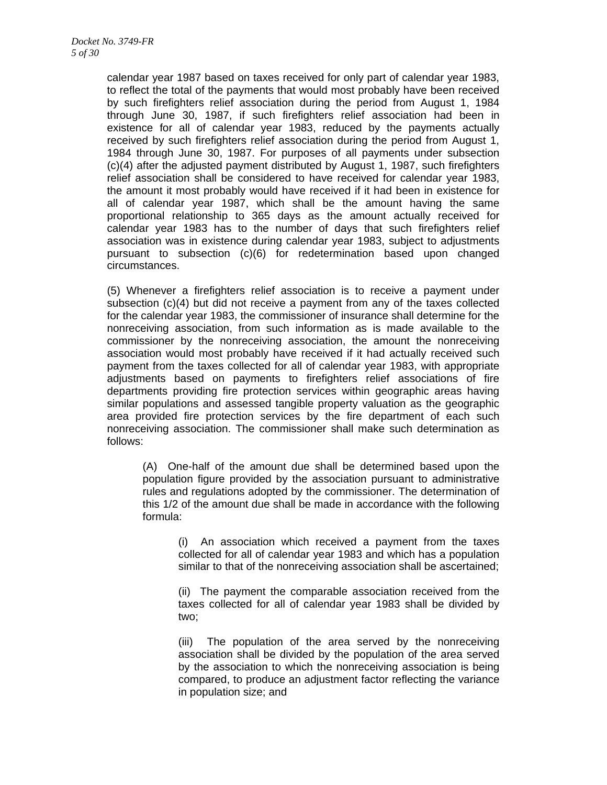calendar year 1987 based on taxes received for only part of calendar year 1983, to reflect the total of the payments that would most probably have been received by such firefighters relief association during the period from August 1, 1984 through June 30, 1987, if such firefighters relief association had been in existence for all of calendar year 1983, reduced by the payments actually received by such firefighters relief association during the period from August 1, 1984 through June 30, 1987. For purposes of all payments under subsection (c)(4) after the adjusted payment distributed by August 1, 1987, such firefighters relief association shall be considered to have received for calendar year 1983, the amount it most probably would have received if it had been in existence for all of calendar year 1987, which shall be the amount having the same proportional relationship to 365 days as the amount actually received for calendar year 1983 has to the number of days that such firefighters relief association was in existence during calendar year 1983, subject to adjustments pursuant to subsection (c)(6) for redetermination based upon changed circumstances.

(5) Whenever a firefighters relief association is to receive a payment under subsection (c)(4) but did not receive a payment from any of the taxes collected for the calendar year 1983, the commissioner of insurance shall determine for the nonreceiving association, from such information as is made available to the commissioner by the nonreceiving association, the amount the nonreceiving association would most probably have received if it had actually received such payment from the taxes collected for all of calendar year 1983, with appropriate adjustments based on payments to firefighters relief associations of fire departments providing fire protection services within geographic areas having similar populations and assessed tangible property valuation as the geographic area provided fire protection services by the fire department of each such nonreceiving association. The commissioner shall make such determination as follows:

(A) One-half of the amount due shall be determined based upon the population figure provided by the association pursuant to administrative rules and regulations adopted by the commissioner. The determination of this 1/2 of the amount due shall be made in accordance with the following formula:

> (i) An association which received a payment from the taxes collected for all of calendar year 1983 and which has a population similar to that of the nonreceiving association shall be ascertained;

> (ii) The payment the comparable association received from the taxes collected for all of calendar year 1983 shall be divided by two;

> (iii) The population of the area served by the nonreceiving association shall be divided by the population of the area served by the association to which the nonreceiving association is being compared, to produce an adjustment factor reflecting the variance in population size; and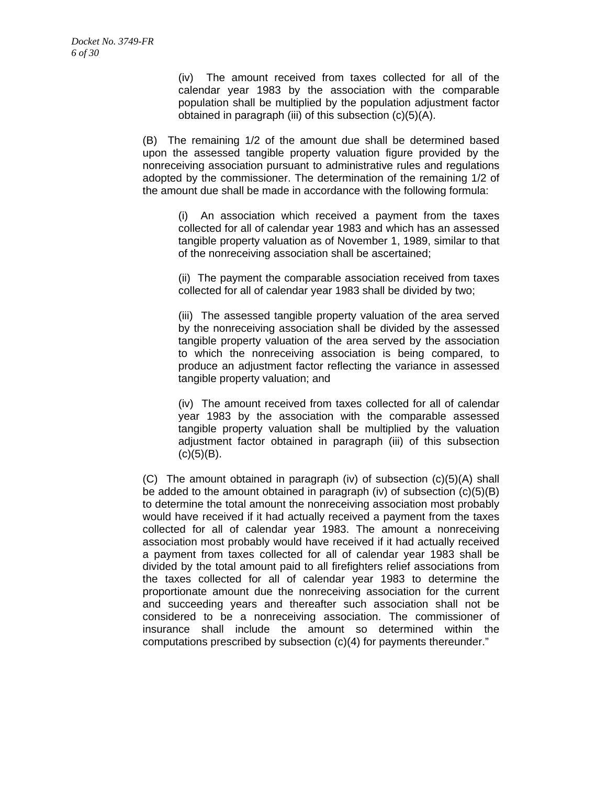(iv) The amount received from taxes collected for all of the calendar year 1983 by the association with the comparable population shall be multiplied by the population adjustment factor obtained in paragraph (iii) of this subsection (c)(5)(A).

(B) The remaining 1/2 of the amount due shall be determined based upon the assessed tangible property valuation figure provided by the nonreceiving association pursuant to administrative rules and regulations adopted by the commissioner. The determination of the remaining 1/2 of the amount due shall be made in accordance with the following formula:

> (i) An association which received a payment from the taxes collected for all of calendar year 1983 and which has an assessed tangible property valuation as of November 1, 1989, similar to that of the nonreceiving association shall be ascertained;

> (ii) The payment the comparable association received from taxes collected for all of calendar year 1983 shall be divided by two;

> (iii) The assessed tangible property valuation of the area served by the nonreceiving association shall be divided by the assessed tangible property valuation of the area served by the association to which the nonreceiving association is being compared, to produce an adjustment factor reflecting the variance in assessed tangible property valuation; and

> (iv) The amount received from taxes collected for all of calendar year 1983 by the association with the comparable assessed tangible property valuation shall be multiplied by the valuation adjustment factor obtained in paragraph (iii) of this subsection  $(c)(5)(B)$ .

(C) The amount obtained in paragraph (iv) of subsection (c)(5)(A) shall be added to the amount obtained in paragraph (iv) of subsection (c)(5)(B) to determine the total amount the nonreceiving association most probably would have received if it had actually received a payment from the taxes collected for all of calendar year 1983. The amount a nonreceiving association most probably would have received if it had actually received a payment from taxes collected for all of calendar year 1983 shall be divided by the total amount paid to all firefighters relief associations from the taxes collected for all of calendar year 1983 to determine the proportionate amount due the nonreceiving association for the current and succeeding years and thereafter such association shall not be considered to be a nonreceiving association. The commissioner of insurance shall include the amount so determined within the computations prescribed by subsection (c)(4) for payments thereunder."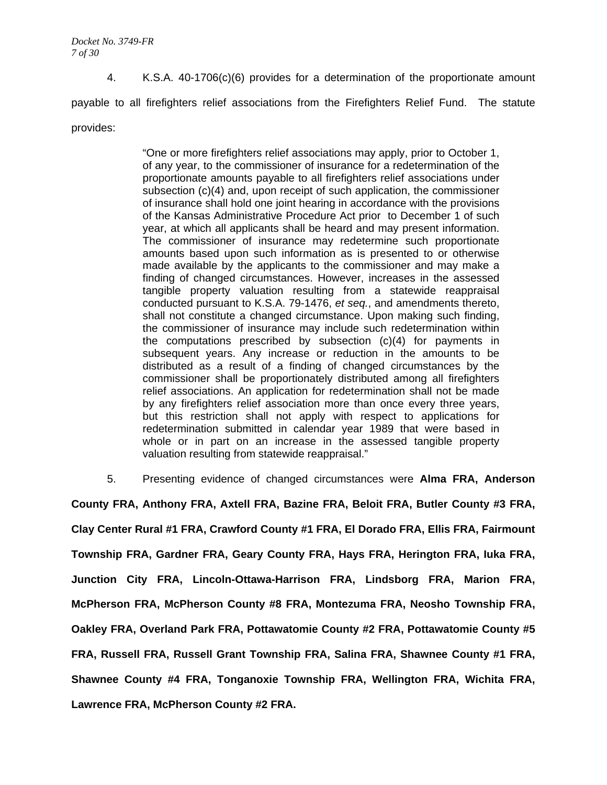4. K.S.A. 40-1706(c)(6) provides for a determination of the proportionate amount payable to all firefighters relief associations from the Firefighters Relief Fund. The statute provides:

> "One or more firefighters relief associations may apply, prior to October 1, of any year, to the commissioner of insurance for a redetermination of the proportionate amounts payable to all firefighters relief associations under subsection (c)(4) and, upon receipt of such application, the commissioner of insurance shall hold one joint hearing in accordance with the provisions of the Kansas Administrative Procedure Act prior to December 1 of such year, at which all applicants shall be heard and may present information. The commissioner of insurance may redetermine such proportionate amounts based upon such information as is presented to or otherwise made available by the applicants to the commissioner and may make a finding of changed circumstances. However, increases in the assessed tangible property valuation resulting from a statewide reappraisal conducted pursuant to K.S.A. 79-1476, *et seq.*, and amendments thereto, shall not constitute a changed circumstance. Upon making such finding, the commissioner of insurance may include such redetermination within the computations prescribed by subsection (c)(4) for payments in subsequent years. Any increase or reduction in the amounts to be distributed as a result of a finding of changed circumstances by the commissioner shall be proportionately distributed among all firefighters relief associations. An application for redetermination shall not be made by any firefighters relief association more than once every three years, but this restriction shall not apply with respect to applications for redetermination submitted in calendar year 1989 that were based in whole or in part on an increase in the assessed tangible property valuation resulting from statewide reappraisal."

5. Presenting evidence of changed circumstances were **Alma FRA, Anderson** 

**County FRA, Anthony FRA, Axtell FRA, Bazine FRA, Beloit FRA, Butler County #3 FRA, Clay Center Rural #1 FRA, Crawford County #1 FRA, El Dorado FRA, Ellis FRA, Fairmount Township FRA, Gardner FRA, Geary County FRA, Hays FRA, Herington FRA, Iuka FRA, Junction City FRA, Lincoln-Ottawa-Harrison FRA, Lindsborg FRA, Marion FRA, McPherson FRA, McPherson County #8 FRA, Montezuma FRA, Neosho Township FRA, Oakley FRA, Overland Park FRA, Pottawatomie County #2 FRA, Pottawatomie County #5 FRA, Russell FRA, Russell Grant Township FRA, Salina FRA, Shawnee County #1 FRA, Shawnee County #4 FRA, Tonganoxie Township FRA, Wellington FRA, Wichita FRA, Lawrence FRA, McPherson County #2 FRA.**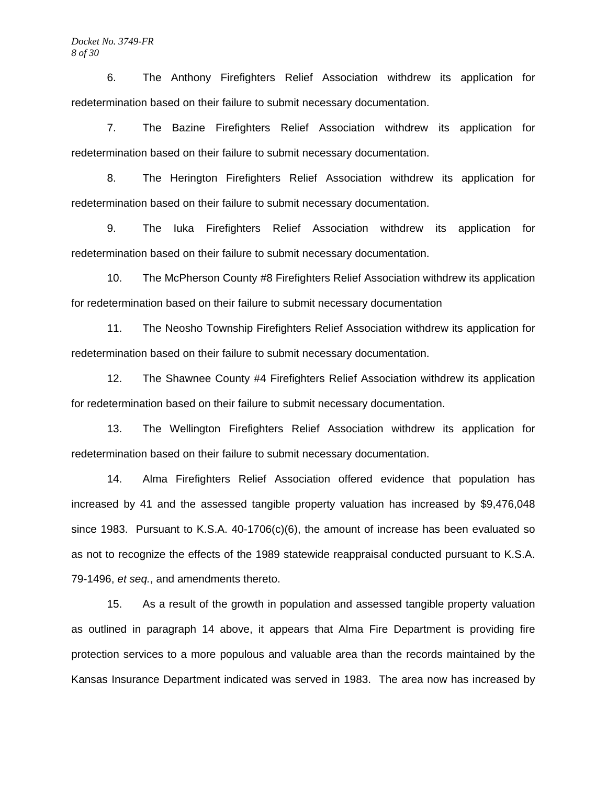6. The Anthony Firefighters Relief Association withdrew its application for redetermination based on their failure to submit necessary documentation.

 7. The Bazine Firefighters Relief Association withdrew its application for redetermination based on their failure to submit necessary documentation.

8. The Herington Firefighters Relief Association withdrew its application for redetermination based on their failure to submit necessary documentation.

 9. The Iuka Firefighters Relief Association withdrew its application for redetermination based on their failure to submit necessary documentation.

 10. The McPherson County #8 Firefighters Relief Association withdrew its application for redetermination based on their failure to submit necessary documentation

11. The Neosho Township Firefighters Relief Association withdrew its application for redetermination based on their failure to submit necessary documentation.

 12. The Shawnee County #4 Firefighters Relief Association withdrew its application for redetermination based on their failure to submit necessary documentation.

 13. The Wellington Firefighters Relief Association withdrew its application for redetermination based on their failure to submit necessary documentation.

 14. Alma Firefighters Relief Association offered evidence that population has increased by 41 and the assessed tangible property valuation has increased by \$9,476,048 since 1983. Pursuant to K.S.A. 40-1706(c)(6), the amount of increase has been evaluated so as not to recognize the effects of the 1989 statewide reappraisal conducted pursuant to K.S.A. 79-1496, *et seq.*, and amendments thereto.

 15. As a result of the growth in population and assessed tangible property valuation as outlined in paragraph 14 above, it appears that Alma Fire Department is providing fire protection services to a more populous and valuable area than the records maintained by the Kansas Insurance Department indicated was served in 1983. The area now has increased by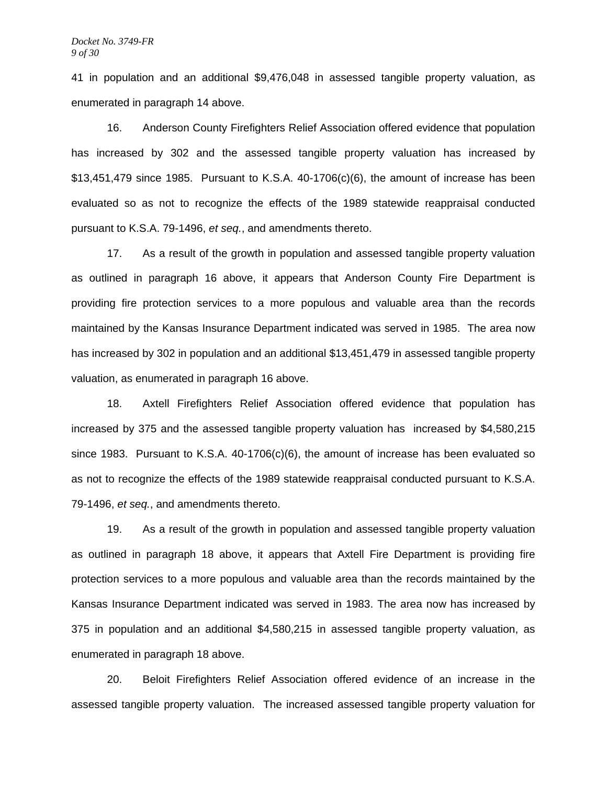41 in population and an additional \$9,476,048 in assessed tangible property valuation, as enumerated in paragraph 14 above.

 16. Anderson County Firefighters Relief Association offered evidence that population has increased by 302 and the assessed tangible property valuation has increased by \$13,451,479 since 1985. Pursuant to K.S.A. 40-1706(c)(6), the amount of increase has been evaluated so as not to recognize the effects of the 1989 statewide reappraisal conducted pursuant to K.S.A. 79-1496, *et seq.*, and amendments thereto.

 17. As a result of the growth in population and assessed tangible property valuation as outlined in paragraph 16 above, it appears that Anderson County Fire Department is providing fire protection services to a more populous and valuable area than the records maintained by the Kansas Insurance Department indicated was served in 1985. The area now has increased by 302 in population and an additional \$13,451,479 in assessed tangible property valuation, as enumerated in paragraph 16 above.

18. Axtell Firefighters Relief Association offered evidence that population has increased by 375 and the assessed tangible property valuation has increased by \$4,580,215 since 1983. Pursuant to K.S.A.  $40-1706(c)(6)$ , the amount of increase has been evaluated so as not to recognize the effects of the 1989 statewide reappraisal conducted pursuant to K.S.A. 79-1496, *et seq.*, and amendments thereto.

 19. As a result of the growth in population and assessed tangible property valuation as outlined in paragraph 18 above, it appears that Axtell Fire Department is providing fire protection services to a more populous and valuable area than the records maintained by the Kansas Insurance Department indicated was served in 1983. The area now has increased by 375 in population and an additional \$4,580,215 in assessed tangible property valuation, as enumerated in paragraph 18 above.

20. Beloit Firefighters Relief Association offered evidence of an increase in the assessed tangible property valuation. The increased assessed tangible property valuation for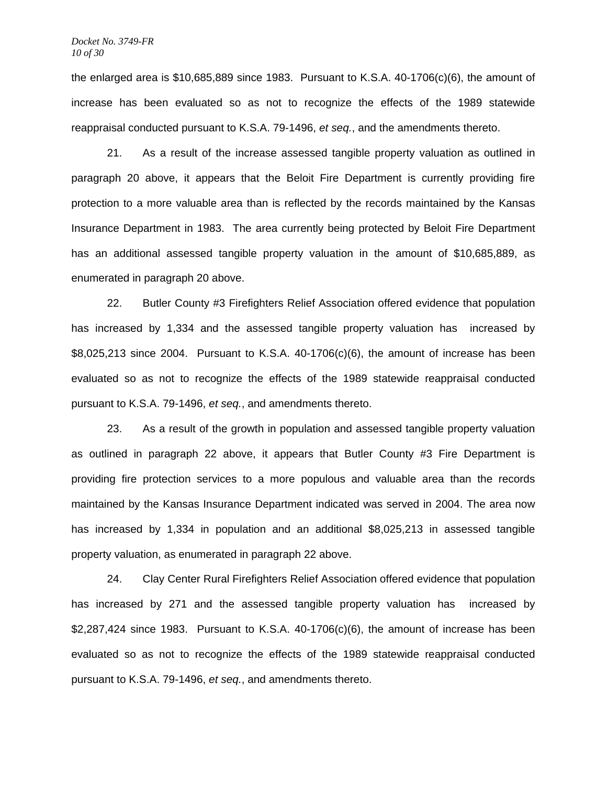the enlarged area is \$10,685,889 since 1983. Pursuant to K.S.A. 40-1706(c)(6), the amount of increase has been evaluated so as not to recognize the effects of the 1989 statewide reappraisal conducted pursuant to K.S.A. 79-1496, *et seq.*, and the amendments thereto.

 21. As a result of the increase assessed tangible property valuation as outlined in paragraph 20 above, it appears that the Beloit Fire Department is currently providing fire protection to a more valuable area than is reflected by the records maintained by the Kansas Insurance Department in 1983. The area currently being protected by Beloit Fire Department has an additional assessed tangible property valuation in the amount of \$10,685,889, as enumerated in paragraph 20 above.

22. Butler County #3 Firefighters Relief Association offered evidence that population has increased by 1,334 and the assessed tangible property valuation has increased by \$8,025,213 since 2004. Pursuant to K.S.A. 40-1706(c)(6), the amount of increase has been evaluated so as not to recognize the effects of the 1989 statewide reappraisal conducted pursuant to K.S.A. 79-1496, *et seq.*, and amendments thereto.

 23. As a result of the growth in population and assessed tangible property valuation as outlined in paragraph 22 above, it appears that Butler County #3 Fire Department is providing fire protection services to a more populous and valuable area than the records maintained by the Kansas Insurance Department indicated was served in 2004. The area now has increased by 1,334 in population and an additional \$8,025,213 in assessed tangible property valuation, as enumerated in paragraph 22 above.

24. Clay Center Rural Firefighters Relief Association offered evidence that population has increased by 271 and the assessed tangible property valuation has increased by  $$2,287,424$  since 1983. Pursuant to K.S.A.  $40-1706(c)(6)$ , the amount of increase has been evaluated so as not to recognize the effects of the 1989 statewide reappraisal conducted pursuant to K.S.A. 79-1496, *et seq.*, and amendments thereto.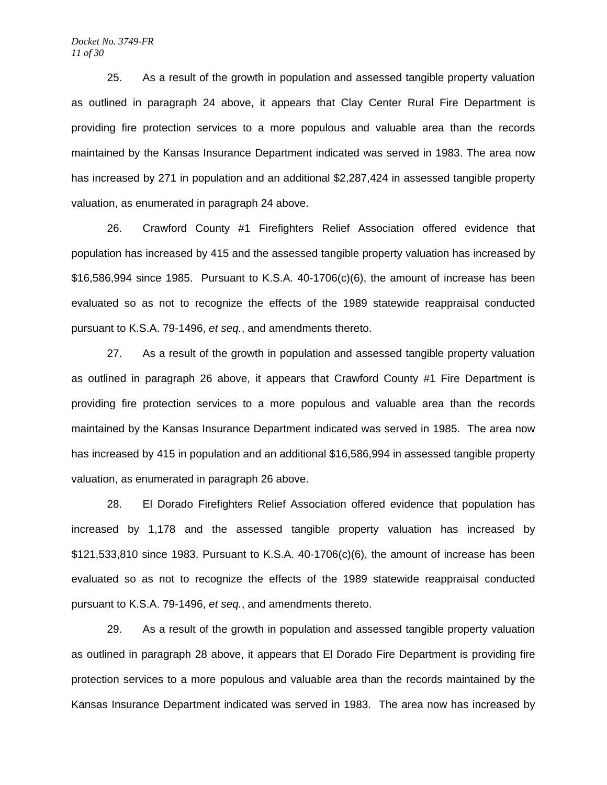#### *Docket No. 3749-FR 11 of 30*

 25. As a result of the growth in population and assessed tangible property valuation as outlined in paragraph 24 above, it appears that Clay Center Rural Fire Department is providing fire protection services to a more populous and valuable area than the records maintained by the Kansas Insurance Department indicated was served in 1983. The area now has increased by 271 in population and an additional \$2,287,424 in assessed tangible property valuation, as enumerated in paragraph 24 above.

 26. Crawford County #1 Firefighters Relief Association offered evidence that population has increased by 415 and the assessed tangible property valuation has increased by \$16,586,994 since 1985. Pursuant to K.S.A. 40-1706(c)(6), the amount of increase has been evaluated so as not to recognize the effects of the 1989 statewide reappraisal conducted pursuant to K.S.A. 79-1496, *et seq.*, and amendments thereto.

 27. As a result of the growth in population and assessed tangible property valuation as outlined in paragraph 26 above, it appears that Crawford County #1 Fire Department is providing fire protection services to a more populous and valuable area than the records maintained by the Kansas Insurance Department indicated was served in 1985. The area now has increased by 415 in population and an additional \$16,586,994 in assessed tangible property valuation, as enumerated in paragraph 26 above.

28. El Dorado Firefighters Relief Association offered evidence that population has increased by 1,178 and the assessed tangible property valuation has increased by  $$121,533,810$  since 1983. Pursuant to K.S.A.  $40-1706(c)(6)$ , the amount of increase has been evaluated so as not to recognize the effects of the 1989 statewide reappraisal conducted pursuant to K.S.A. 79-1496, *et seq.*, and amendments thereto.

 29. As a result of the growth in population and assessed tangible property valuation as outlined in paragraph 28 above, it appears that El Dorado Fire Department is providing fire protection services to a more populous and valuable area than the records maintained by the Kansas Insurance Department indicated was served in 1983. The area now has increased by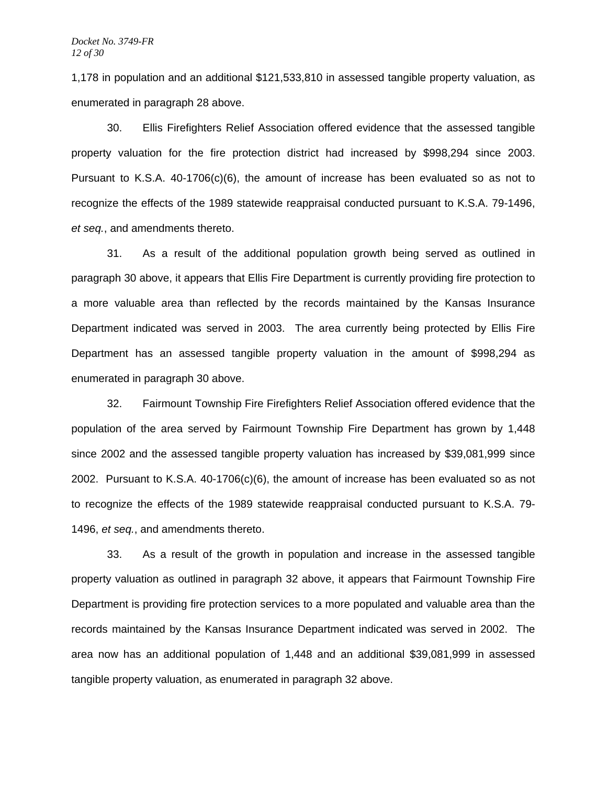1,178 in population and an additional \$121,533,810 in assessed tangible property valuation, as enumerated in paragraph 28 above.

 30. Ellis Firefighters Relief Association offered evidence that the assessed tangible property valuation for the fire protection district had increased by \$998,294 since 2003. Pursuant to K.S.A. 40-1706(c)(6), the amount of increase has been evaluated so as not to recognize the effects of the 1989 statewide reappraisal conducted pursuant to K.S.A. 79-1496, *et seq.*, and amendments thereto.

 31. As a result of the additional population growth being served as outlined in paragraph 30 above, it appears that Ellis Fire Department is currently providing fire protection to a more valuable area than reflected by the records maintained by the Kansas Insurance Department indicated was served in 2003. The area currently being protected by Ellis Fire Department has an assessed tangible property valuation in the amount of \$998,294 as enumerated in paragraph 30 above.

32. Fairmount Township Fire Firefighters Relief Association offered evidence that the population of the area served by Fairmount Township Fire Department has grown by 1,448 since 2002 and the assessed tangible property valuation has increased by \$39,081,999 since 2002. Pursuant to K.S.A. 40-1706(c)(6), the amount of increase has been evaluated so as not to recognize the effects of the 1989 statewide reappraisal conducted pursuant to K.S.A. 79- 1496, *et seq.*, and amendments thereto.

33. As a result of the growth in population and increase in the assessed tangible property valuation as outlined in paragraph 32 above, it appears that Fairmount Township Fire Department is providing fire protection services to a more populated and valuable area than the records maintained by the Kansas Insurance Department indicated was served in 2002. The area now has an additional population of 1,448 and an additional \$39,081,999 in assessed tangible property valuation, as enumerated in paragraph 32 above.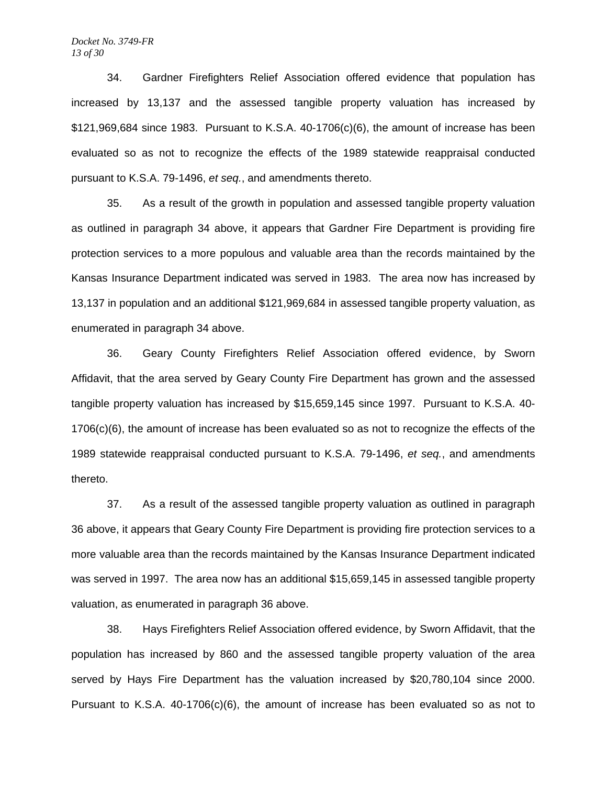#### *Docket No. 3749-FR 13 of 30*

 34. Gardner Firefighters Relief Association offered evidence that population has increased by 13,137 and the assessed tangible property valuation has increased by  $$121,969,684$  since 1983. Pursuant to K.S.A.  $40-1706(c)(6)$ , the amount of increase has been evaluated so as not to recognize the effects of the 1989 statewide reappraisal conducted pursuant to K.S.A. 79-1496, *et seq.*, and amendments thereto.

 35. As a result of the growth in population and assessed tangible property valuation as outlined in paragraph 34 above, it appears that Gardner Fire Department is providing fire protection services to a more populous and valuable area than the records maintained by the Kansas Insurance Department indicated was served in 1983. The area now has increased by 13,137 in population and an additional \$121,969,684 in assessed tangible property valuation, as enumerated in paragraph 34 above.

 36. Geary County Firefighters Relief Association offered evidence, by Sworn Affidavit, that the area served by Geary County Fire Department has grown and the assessed tangible property valuation has increased by \$15,659,145 since 1997. Pursuant to K.S.A. 40- 1706(c)(6), the amount of increase has been evaluated so as not to recognize the effects of the 1989 statewide reappraisal conducted pursuant to K.S.A. 79-1496, *et seq.*, and amendments thereto.

 37. As a result of the assessed tangible property valuation as outlined in paragraph 36 above, it appears that Geary County Fire Department is providing fire protection services to a more valuable area than the records maintained by the Kansas Insurance Department indicated was served in 1997. The area now has an additional \$15,659,145 in assessed tangible property valuation, as enumerated in paragraph 36 above.

 38. Hays Firefighters Relief Association offered evidence, by Sworn Affidavit, that the population has increased by 860 and the assessed tangible property valuation of the area served by Hays Fire Department has the valuation increased by \$20,780,104 since 2000. Pursuant to K.S.A. 40-1706(c)(6), the amount of increase has been evaluated so as not to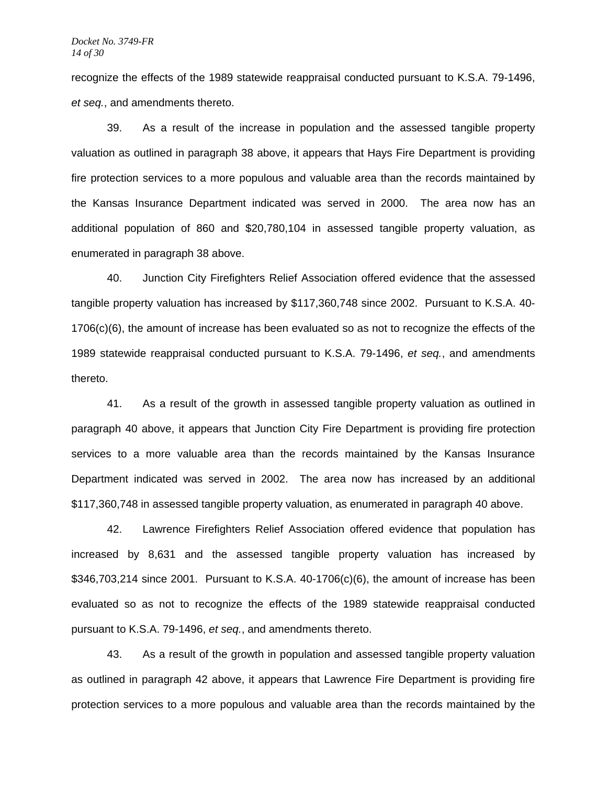recognize the effects of the 1989 statewide reappraisal conducted pursuant to K.S.A. 79-1496, *et seq.*, and amendments thereto.

 39. As a result of the increase in population and the assessed tangible property valuation as outlined in paragraph 38 above, it appears that Hays Fire Department is providing fire protection services to a more populous and valuable area than the records maintained by the Kansas Insurance Department indicated was served in 2000. The area now has an additional population of 860 and \$20,780,104 in assessed tangible property valuation, as enumerated in paragraph 38 above.

 40. Junction City Firefighters Relief Association offered evidence that the assessed tangible property valuation has increased by \$117,360,748 since 2002. Pursuant to K.S.A. 40- 1706(c)(6), the amount of increase has been evaluated so as not to recognize the effects of the 1989 statewide reappraisal conducted pursuant to K.S.A. 79-1496, *et seq.*, and amendments thereto.

 41. As a result of the growth in assessed tangible property valuation as outlined in paragraph 40 above, it appears that Junction City Fire Department is providing fire protection services to a more valuable area than the records maintained by the Kansas Insurance Department indicated was served in 2002. The area now has increased by an additional \$117,360,748 in assessed tangible property valuation, as enumerated in paragraph 40 above.

 42. Lawrence Firefighters Relief Association offered evidence that population has increased by 8,631 and the assessed tangible property valuation has increased by  $$346,703,214$  since 2001. Pursuant to K.S.A.  $40-1706(c)(6)$ , the amount of increase has been evaluated so as not to recognize the effects of the 1989 statewide reappraisal conducted pursuant to K.S.A. 79-1496, *et seq.*, and amendments thereto.

 43. As a result of the growth in population and assessed tangible property valuation as outlined in paragraph 42 above, it appears that Lawrence Fire Department is providing fire protection services to a more populous and valuable area than the records maintained by the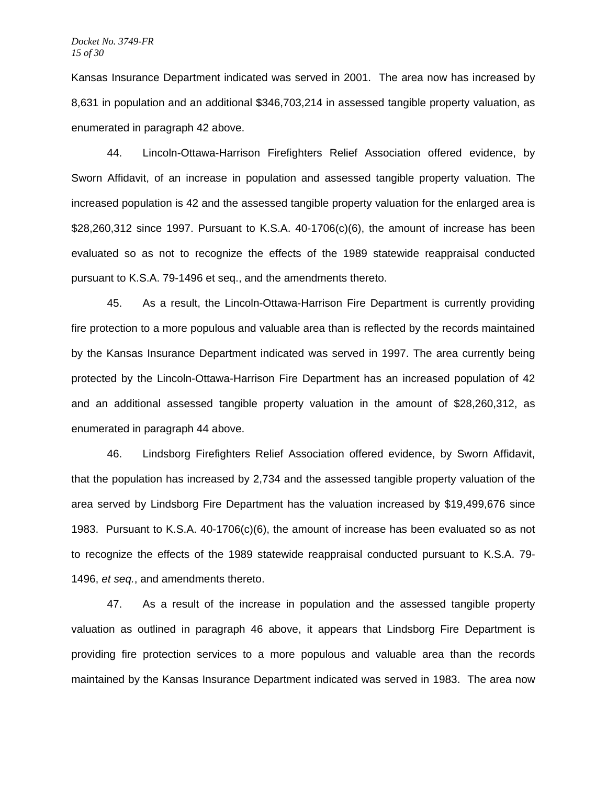Kansas Insurance Department indicated was served in 2001. The area now has increased by 8,631 in population and an additional \$346,703,214 in assessed tangible property valuation, as enumerated in paragraph 42 above.

44. Lincoln-Ottawa-Harrison Firefighters Relief Association offered evidence, by Sworn Affidavit, of an increase in population and assessed tangible property valuation. The increased population is 42 and the assessed tangible property valuation for the enlarged area is \$28,260,312 since 1997. Pursuant to K.S.A. 40-1706(c)(6), the amount of increase has been evaluated so as not to recognize the effects of the 1989 statewide reappraisal conducted pursuant to K.S.A. 79-1496 et seq., and the amendments thereto.

 45. As a result, the Lincoln-Ottawa-Harrison Fire Department is currently providing fire protection to a more populous and valuable area than is reflected by the records maintained by the Kansas Insurance Department indicated was served in 1997. The area currently being protected by the Lincoln-Ottawa-Harrison Fire Department has an increased population of 42 and an additional assessed tangible property valuation in the amount of \$28,260,312, as enumerated in paragraph 44 above.

 46. Lindsborg Firefighters Relief Association offered evidence, by Sworn Affidavit, that the population has increased by 2,734 and the assessed tangible property valuation of the area served by Lindsborg Fire Department has the valuation increased by \$19,499,676 since 1983. Pursuant to K.S.A. 40-1706(c)(6), the amount of increase has been evaluated so as not to recognize the effects of the 1989 statewide reappraisal conducted pursuant to K.S.A. 79- 1496, *et seq.*, and amendments thereto.

47. As a result of the increase in population and the assessed tangible property valuation as outlined in paragraph 46 above, it appears that Lindsborg Fire Department is providing fire protection services to a more populous and valuable area than the records maintained by the Kansas Insurance Department indicated was served in 1983. The area now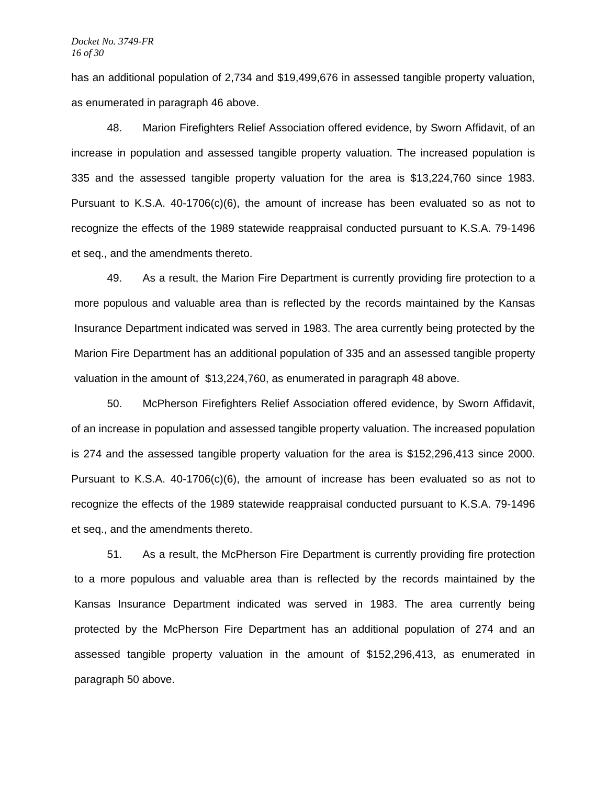has an additional population of 2,734 and \$19,499,676 in assessed tangible property valuation, as enumerated in paragraph 46 above.

 48. Marion Firefighters Relief Association offered evidence, by Sworn Affidavit, of an increase in population and assessed tangible property valuation. The increased population is 335 and the assessed tangible property valuation for the area is \$13,224,760 since 1983. Pursuant to K.S.A. 40-1706(c)(6), the amount of increase has been evaluated so as not to recognize the effects of the 1989 statewide reappraisal conducted pursuant to K.S.A. 79-1496 et seq., and the amendments thereto.

49. As a result, the Marion Fire Department is currently providing fire protection to a more populous and valuable area than is reflected by the records maintained by the Kansas Insurance Department indicated was served in 1983. The area currently being protected by the Marion Fire Department has an additional population of 335 and an assessed tangible property valuation in the amount of \$13,224,760, as enumerated in paragraph 48 above.

 50. McPherson Firefighters Relief Association offered evidence, by Sworn Affidavit, of an increase in population and assessed tangible property valuation. The increased population is 274 and the assessed tangible property valuation for the area is \$152,296,413 since 2000. Pursuant to K.S.A. 40-1706(c)(6), the amount of increase has been evaluated so as not to recognize the effects of the 1989 statewide reappraisal conducted pursuant to K.S.A. 79-1496 et seq., and the amendments thereto.

51. As a result, the McPherson Fire Department is currently providing fire protection to a more populous and valuable area than is reflected by the records maintained by the Kansas Insurance Department indicated was served in 1983. The area currently being protected by the McPherson Fire Department has an additional population of 274 and an assessed tangible property valuation in the amount of \$152,296,413, as enumerated in paragraph 50 above.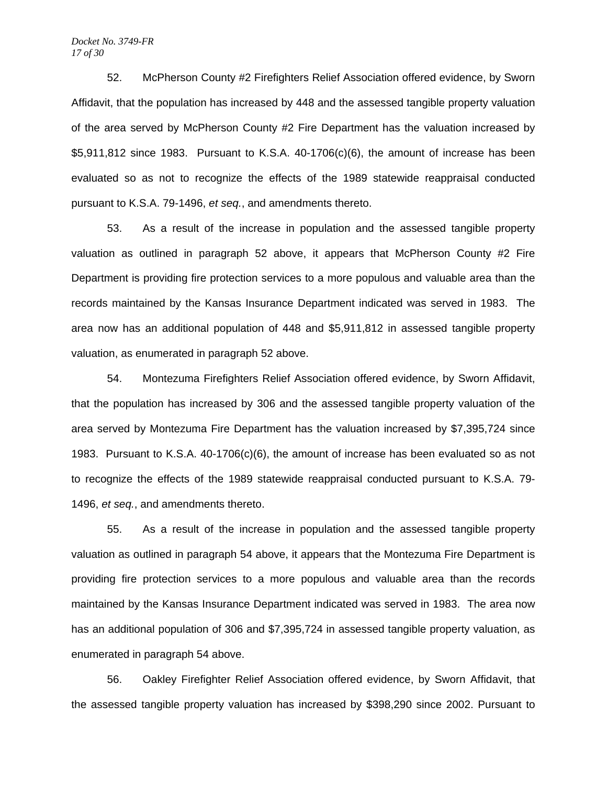#### *Docket No. 3749-FR 17 of 30*

52. McPherson County #2 Firefighters Relief Association offered evidence, by Sworn Affidavit, that the population has increased by 448 and the assessed tangible property valuation of the area served by McPherson County #2 Fire Department has the valuation increased by \$5,911,812 since 1983. Pursuant to K.S.A. 40-1706(c)(6), the amount of increase has been evaluated so as not to recognize the effects of the 1989 statewide reappraisal conducted pursuant to K.S.A. 79-1496, *et seq.*, and amendments thereto.

53. As a result of the increase in population and the assessed tangible property valuation as outlined in paragraph 52 above, it appears that McPherson County #2 Fire Department is providing fire protection services to a more populous and valuable area than the records maintained by the Kansas Insurance Department indicated was served in 1983. The area now has an additional population of 448 and \$5,911,812 in assessed tangible property valuation, as enumerated in paragraph 52 above.

54. Montezuma Firefighters Relief Association offered evidence, by Sworn Affidavit, that the population has increased by 306 and the assessed tangible property valuation of the area served by Montezuma Fire Department has the valuation increased by \$7,395,724 since 1983. Pursuant to K.S.A. 40-1706(c)(6), the amount of increase has been evaluated so as not to recognize the effects of the 1989 statewide reappraisal conducted pursuant to K.S.A. 79- 1496, *et seq.*, and amendments thereto.

55. As a result of the increase in population and the assessed tangible property valuation as outlined in paragraph 54 above, it appears that the Montezuma Fire Department is providing fire protection services to a more populous and valuable area than the records maintained by the Kansas Insurance Department indicated was served in 1983. The area now has an additional population of 306 and \$7,395,724 in assessed tangible property valuation, as enumerated in paragraph 54 above.

56. Oakley Firefighter Relief Association offered evidence, by Sworn Affidavit, that the assessed tangible property valuation has increased by \$398,290 since 2002. Pursuant to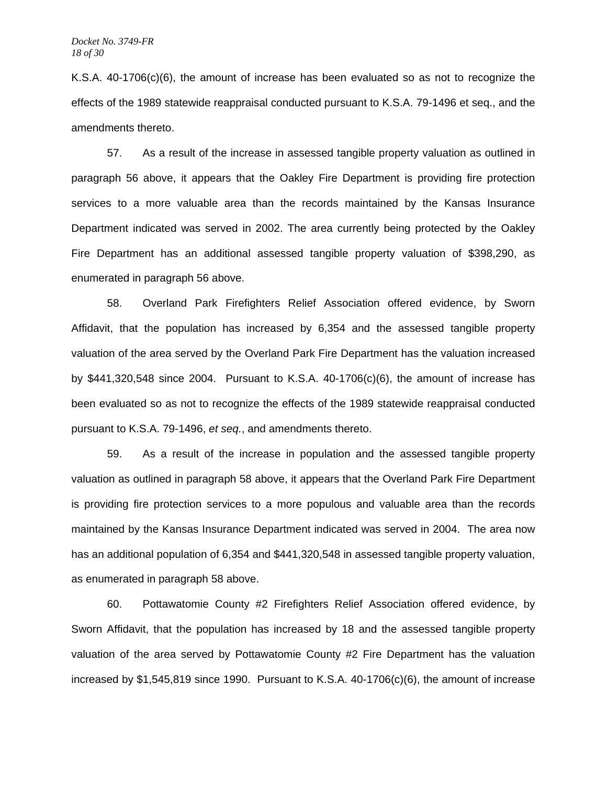K.S.A. 40-1706(c)(6), the amount of increase has been evaluated so as not to recognize the effects of the 1989 statewide reappraisal conducted pursuant to K.S.A. 79-1496 et seq., and the amendments thereto.

57. As a result of the increase in assessed tangible property valuation as outlined in paragraph 56 above, it appears that the Oakley Fire Department is providing fire protection services to a more valuable area than the records maintained by the Kansas Insurance Department indicated was served in 2002. The area currently being protected by the Oakley Fire Department has an additional assessed tangible property valuation of \$398,290, as enumerated in paragraph 56 above.

 58. Overland Park Firefighters Relief Association offered evidence, by Sworn Affidavit, that the population has increased by 6,354 and the assessed tangible property valuation of the area served by the Overland Park Fire Department has the valuation increased by \$441,320,548 since 2004. Pursuant to K.S.A. 40-1706(c)(6), the amount of increase has been evaluated so as not to recognize the effects of the 1989 statewide reappraisal conducted pursuant to K.S.A. 79-1496, *et seq.*, and amendments thereto.

59. As a result of the increase in population and the assessed tangible property valuation as outlined in paragraph 58 above, it appears that the Overland Park Fire Department is providing fire protection services to a more populous and valuable area than the records maintained by the Kansas Insurance Department indicated was served in 2004. The area now has an additional population of 6,354 and \$441,320,548 in assessed tangible property valuation, as enumerated in paragraph 58 above.

 60. Pottawatomie County #2 Firefighters Relief Association offered evidence, by Sworn Affidavit, that the population has increased by 18 and the assessed tangible property valuation of the area served by Pottawatomie County #2 Fire Department has the valuation increased by \$1,545,819 since 1990. Pursuant to K.S.A. 40-1706(c)(6), the amount of increase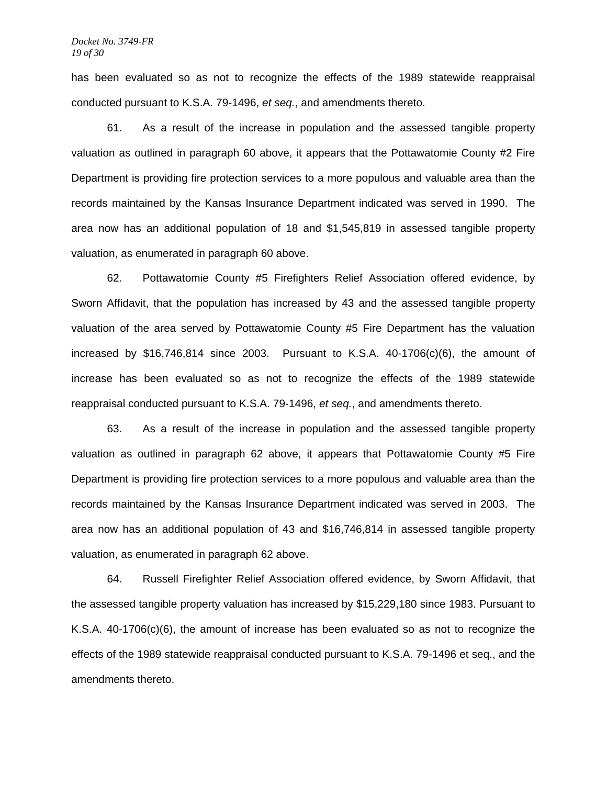has been evaluated so as not to recognize the effects of the 1989 statewide reappraisal conducted pursuant to K.S.A. 79-1496, *et seq.*, and amendments thereto.

61. As a result of the increase in population and the assessed tangible property valuation as outlined in paragraph 60 above, it appears that the Pottawatomie County #2 Fire Department is providing fire protection services to a more populous and valuable area than the records maintained by the Kansas Insurance Department indicated was served in 1990. The area now has an additional population of 18 and \$1,545,819 in assessed tangible property valuation, as enumerated in paragraph 60 above.

 62. Pottawatomie County #5 Firefighters Relief Association offered evidence, by Sworn Affidavit, that the population has increased by 43 and the assessed tangible property valuation of the area served by Pottawatomie County #5 Fire Department has the valuation increased by \$16,746,814 since 2003. Pursuant to K.S.A.  $40-1706(c)(6)$ , the amount of increase has been evaluated so as not to recognize the effects of the 1989 statewide reappraisal conducted pursuant to K.S.A. 79-1496, *et seq.*, and amendments thereto.

63. As a result of the increase in population and the assessed tangible property valuation as outlined in paragraph 62 above, it appears that Pottawatomie County #5 Fire Department is providing fire protection services to a more populous and valuable area than the records maintained by the Kansas Insurance Department indicated was served in 2003. The area now has an additional population of 43 and \$16,746,814 in assessed tangible property valuation, as enumerated in paragraph 62 above.

64. Russell Firefighter Relief Association offered evidence, by Sworn Affidavit, that the assessed tangible property valuation has increased by \$15,229,180 since 1983. Pursuant to K.S.A. 40-1706(c)(6), the amount of increase has been evaluated so as not to recognize the effects of the 1989 statewide reappraisal conducted pursuant to K.S.A. 79-1496 et seq., and the amendments thereto.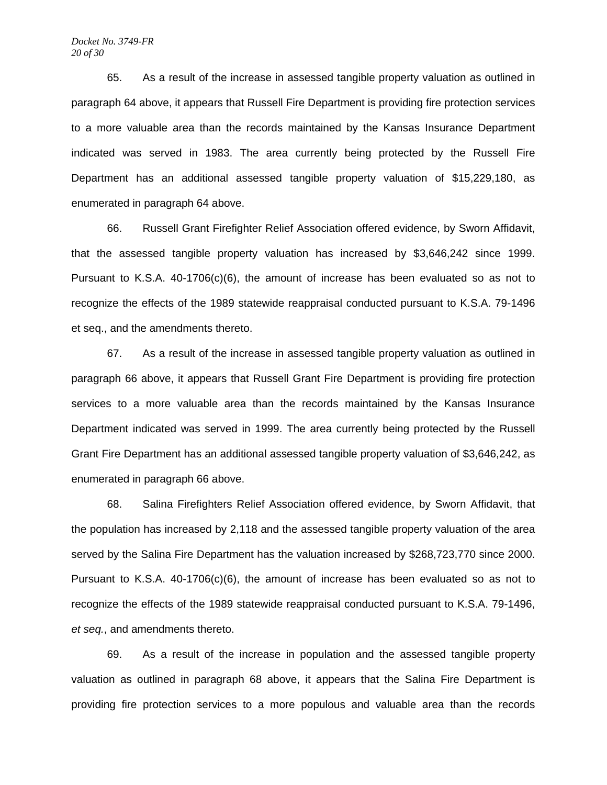65. As a result of the increase in assessed tangible property valuation as outlined in paragraph 64 above, it appears that Russell Fire Department is providing fire protection services to a more valuable area than the records maintained by the Kansas Insurance Department indicated was served in 1983. The area currently being protected by the Russell Fire Department has an additional assessed tangible property valuation of \$15,229,180, as enumerated in paragraph 64 above.

66. Russell Grant Firefighter Relief Association offered evidence, by Sworn Affidavit, that the assessed tangible property valuation has increased by \$3,646,242 since 1999. Pursuant to K.S.A. 40-1706(c)(6), the amount of increase has been evaluated so as not to recognize the effects of the 1989 statewide reappraisal conducted pursuant to K.S.A. 79-1496 et seq., and the amendments thereto.

67. As a result of the increase in assessed tangible property valuation as outlined in paragraph 66 above, it appears that Russell Grant Fire Department is providing fire protection services to a more valuable area than the records maintained by the Kansas Insurance Department indicated was served in 1999. The area currently being protected by the Russell Grant Fire Department has an additional assessed tangible property valuation of \$3,646,242, as enumerated in paragraph 66 above.

 68. Salina Firefighters Relief Association offered evidence, by Sworn Affidavit, that the population has increased by 2,118 and the assessed tangible property valuation of the area served by the Salina Fire Department has the valuation increased by \$268,723,770 since 2000. Pursuant to K.S.A. 40-1706(c)(6), the amount of increase has been evaluated so as not to recognize the effects of the 1989 statewide reappraisal conducted pursuant to K.S.A. 79-1496, *et seq.*, and amendments thereto.

69. As a result of the increase in population and the assessed tangible property valuation as outlined in paragraph 68 above, it appears that the Salina Fire Department is providing fire protection services to a more populous and valuable area than the records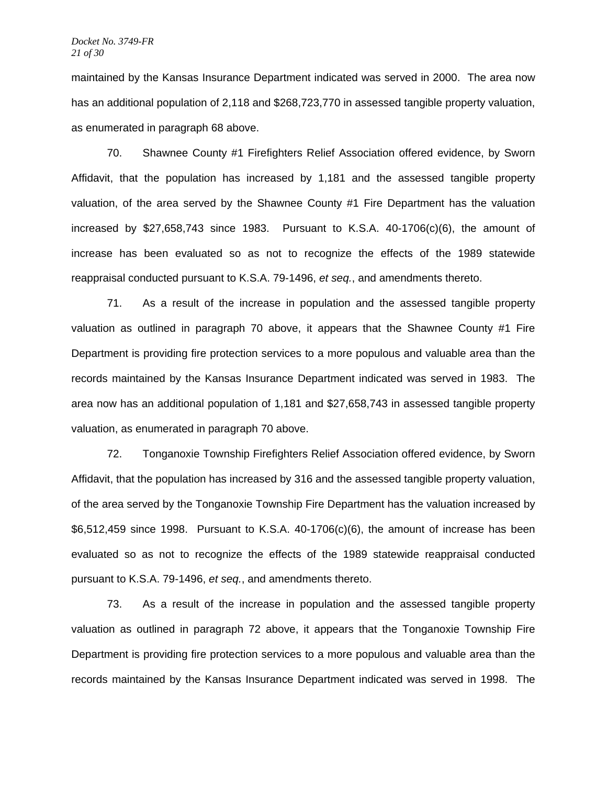maintained by the Kansas Insurance Department indicated was served in 2000. The area now has an additional population of 2,118 and \$268,723,770 in assessed tangible property valuation, as enumerated in paragraph 68 above.

70. Shawnee County #1 Firefighters Relief Association offered evidence, by Sworn Affidavit, that the population has increased by 1,181 and the assessed tangible property valuation, of the area served by the Shawnee County #1 Fire Department has the valuation increased by  $$27,658,743$  since 1983. Pursuant to K.S.A. 40-1706 $(c)(6)$ , the amount of increase has been evaluated so as not to recognize the effects of the 1989 statewide reappraisal conducted pursuant to K.S.A. 79-1496, *et seq.*, and amendments thereto.

71. As a result of the increase in population and the assessed tangible property valuation as outlined in paragraph 70 above, it appears that the Shawnee County #1 Fire Department is providing fire protection services to a more populous and valuable area than the records maintained by the Kansas Insurance Department indicated was served in 1983. The area now has an additional population of 1,181 and \$27,658,743 in assessed tangible property valuation, as enumerated in paragraph 70 above.

72. Tonganoxie Township Firefighters Relief Association offered evidence, by Sworn Affidavit, that the population has increased by 316 and the assessed tangible property valuation, of the area served by the Tonganoxie Township Fire Department has the valuation increased by \$6,512,459 since 1998. Pursuant to K.S.A. 40-1706(c)(6), the amount of increase has been evaluated so as not to recognize the effects of the 1989 statewide reappraisal conducted pursuant to K.S.A. 79-1496, *et seq.*, and amendments thereto.

73. As a result of the increase in population and the assessed tangible property valuation as outlined in paragraph 72 above, it appears that the Tonganoxie Township Fire Department is providing fire protection services to a more populous and valuable area than the records maintained by the Kansas Insurance Department indicated was served in 1998. The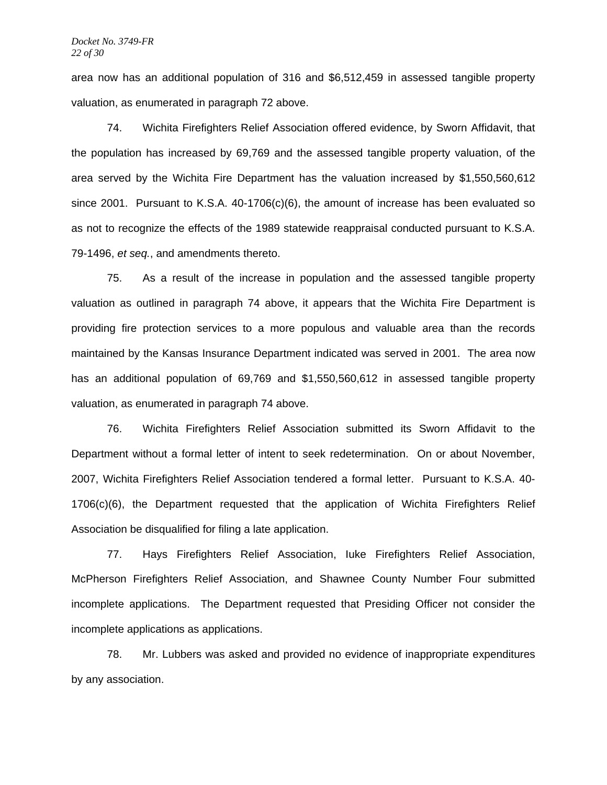area now has an additional population of 316 and \$6,512,459 in assessed tangible property valuation, as enumerated in paragraph 72 above.

74. Wichita Firefighters Relief Association offered evidence, by Sworn Affidavit, that the population has increased by 69,769 and the assessed tangible property valuation, of the area served by the Wichita Fire Department has the valuation increased by \$1,550,560,612 since 2001. Pursuant to K.S.A.  $40-1706(c)(6)$ , the amount of increase has been evaluated so as not to recognize the effects of the 1989 statewide reappraisal conducted pursuant to K.S.A. 79-1496, *et seq.*, and amendments thereto.

75. As a result of the increase in population and the assessed tangible property valuation as outlined in paragraph 74 above, it appears that the Wichita Fire Department is providing fire protection services to a more populous and valuable area than the records maintained by the Kansas Insurance Department indicated was served in 2001. The area now has an additional population of 69,769 and \$1,550,560,612 in assessed tangible property valuation, as enumerated in paragraph 74 above.

76. Wichita Firefighters Relief Association submitted its Sworn Affidavit to the Department without a formal letter of intent to seek redetermination. On or about November, 2007, Wichita Firefighters Relief Association tendered a formal letter. Pursuant to K.S.A. 40- 1706(c)(6), the Department requested that the application of Wichita Firefighters Relief Association be disqualified for filing a late application.

77. Hays Firefighters Relief Association, Iuke Firefighters Relief Association, McPherson Firefighters Relief Association, and Shawnee County Number Four submitted incomplete applications. The Department requested that Presiding Officer not consider the incomplete applications as applications.

78. Mr. Lubbers was asked and provided no evidence of inappropriate expenditures by any association.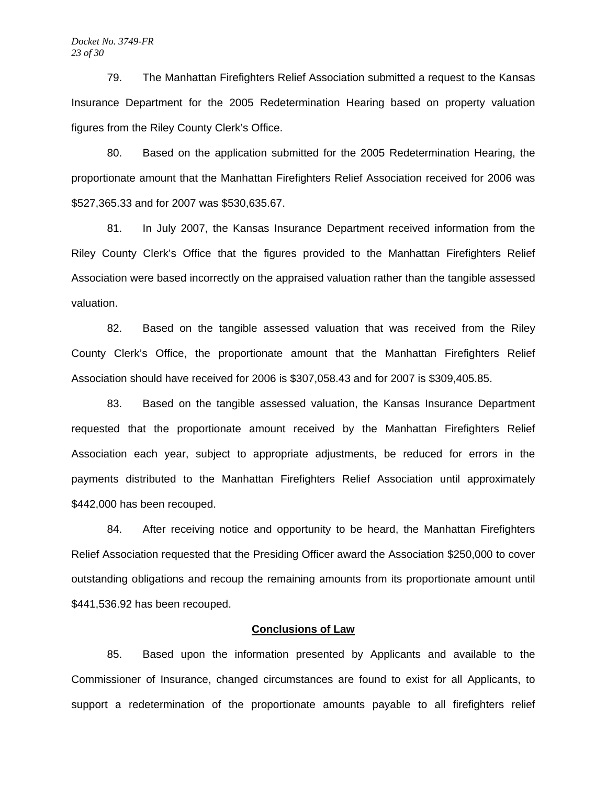79.The Manhattan Firefighters Relief Association submitted a request to the Kansas Insurance Department for the 2005 Redetermination Hearing based on property valuation figures from the Riley County Clerk's Office.

80. Based on the application submitted for the 2005 Redetermination Hearing, the proportionate amount that the Manhattan Firefighters Relief Association received for 2006 was \$527,365.33 and for 2007 was \$530,635.67.

81. In July 2007, the Kansas Insurance Department received information from the Riley County Clerk's Office that the figures provided to the Manhattan Firefighters Relief Association were based incorrectly on the appraised valuation rather than the tangible assessed valuation.

82. Based on the tangible assessed valuation that was received from the Riley County Clerk's Office, the proportionate amount that the Manhattan Firefighters Relief Association should have received for 2006 is \$307,058.43 and for 2007 is \$309,405.85.

83. Based on the tangible assessed valuation, the Kansas Insurance Department requested that the proportionate amount received by the Manhattan Firefighters Relief Association each year, subject to appropriate adjustments, be reduced for errors in the payments distributed to the Manhattan Firefighters Relief Association until approximately \$442,000 has been recouped.

84. After receiving notice and opportunity to be heard, the Manhattan Firefighters Relief Association requested that the Presiding Officer award the Association \$250,000 to cover outstanding obligations and recoup the remaining amounts from its proportionate amount until \$441,536.92 has been recouped.

## **Conclusions of Law**

 85. Based upon the information presented by Applicants and available to the Commissioner of Insurance, changed circumstances are found to exist for all Applicants, to support a redetermination of the proportionate amounts payable to all firefighters relief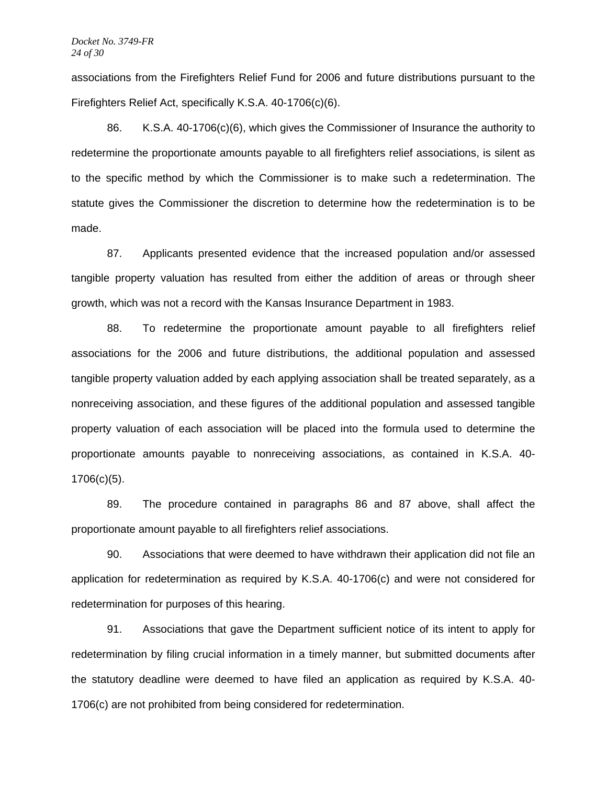associations from the Firefighters Relief Fund for 2006 and future distributions pursuant to the Firefighters Relief Act, specifically K.S.A. 40-1706(c)(6).

 86. K.S.A. 40-1706(c)(6), which gives the Commissioner of Insurance the authority to redetermine the proportionate amounts payable to all firefighters relief associations, is silent as to the specific method by which the Commissioner is to make such a redetermination. The statute gives the Commissioner the discretion to determine how the redetermination is to be made.

 87. Applicants presented evidence that the increased population and/or assessed tangible property valuation has resulted from either the addition of areas or through sheer growth, which was not a record with the Kansas Insurance Department in 1983.

88. To redetermine the proportionate amount payable to all firefighters relief associations for the 2006 and future distributions, the additional population and assessed tangible property valuation added by each applying association shall be treated separately, as a nonreceiving association, and these figures of the additional population and assessed tangible property valuation of each association will be placed into the formula used to determine the proportionate amounts payable to nonreceiving associations, as contained in K.S.A. 40- 1706(c)(5).

89. The procedure contained in paragraphs 86 and 87 above, shall affect the proportionate amount payable to all firefighters relief associations.

90. Associations that were deemed to have withdrawn their application did not file an application for redetermination as required by K.S.A. 40-1706(c) and were not considered for redetermination for purposes of this hearing.

91. Associations that gave the Department sufficient notice of its intent to apply for redetermination by filing crucial information in a timely manner, but submitted documents after the statutory deadline were deemed to have filed an application as required by K.S.A. 40- 1706(c) are not prohibited from being considered for redetermination.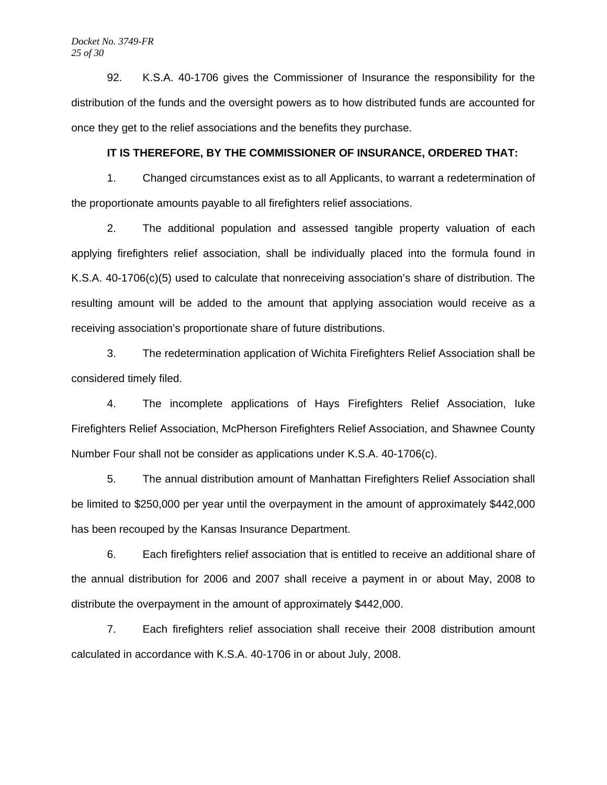92. K.S.A. 40-1706 gives the Commissioner of Insurance the responsibility for the distribution of the funds and the oversight powers as to how distributed funds are accounted for once they get to the relief associations and the benefits they purchase.

# **IT IS THEREFORE, BY THE COMMISSIONER OF INSURANCE, ORDERED THAT:**

 1. Changed circumstances exist as to all Applicants, to warrant a redetermination of the proportionate amounts payable to all firefighters relief associations.

 2. The additional population and assessed tangible property valuation of each applying firefighters relief association, shall be individually placed into the formula found in K.S.A. 40-1706(c)(5) used to calculate that nonreceiving association's share of distribution. The resulting amount will be added to the amount that applying association would receive as a receiving association's proportionate share of future distributions.

 3. The redetermination application of Wichita Firefighters Relief Association shall be considered timely filed.

 4. The incomplete applications of Hays Firefighters Relief Association, Iuke Firefighters Relief Association, McPherson Firefighters Relief Association, and Shawnee County Number Four shall not be consider as applications under K.S.A. 40-1706(c).

 5. The annual distribution amount of Manhattan Firefighters Relief Association shall be limited to \$250,000 per year until the overpayment in the amount of approximately \$442,000 has been recouped by the Kansas Insurance Department.

 6. Each firefighters relief association that is entitled to receive an additional share of the annual distribution for 2006 and 2007 shall receive a payment in or about May, 2008 to distribute the overpayment in the amount of approximately \$442,000.

7. Each firefighters relief association shall receive their 2008 distribution amount calculated in accordance with K.S.A. 40-1706 in or about July, 2008.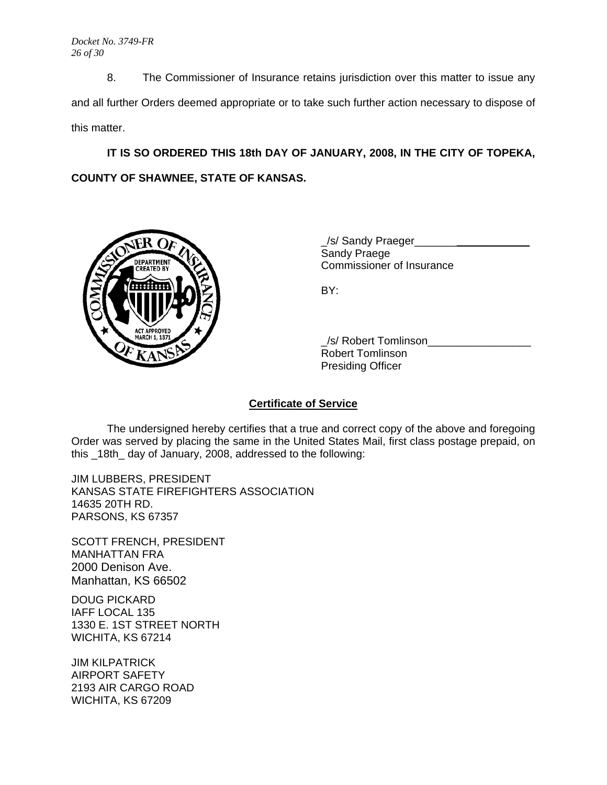8. The Commissioner of Insurance retains jurisdiction over this matter to issue any and all further Orders deemed appropriate or to take such further action necessary to dispose of this matter.

**IT IS SO ORDERED THIS 18th DAY OF JANUARY, 2008, IN THE CITY OF TOPEKA, COUNTY OF SHAWNEE, STATE OF KANSAS.** 



/s/ Sandy Praeger Sandy Praege PARTMENT **WALL** 

 \_/s/ Robert Tomlinson\_\_\_\_\_\_\_\_\_\_\_\_\_\_\_\_\_ Robert Tomlinson Presiding Officer

# **Certificate of Service**

 The undersigned hereby certifies that a true and correct copy of the above and foregoing Order was served by placing the same in the United States Mail, first class postage prepaid, on this \_18th\_ day of January, 2008, addressed to the following:

JIM LUBBERS, PRESIDENT KANSAS STATE FIREFIGHTERS ASSOCIATION 14635 20TH RD. PARSONS, KS 67357

SCOTT FRENCH, PRESIDENT MANHATTAN FRA 2000 Denison Ave. Manhattan, KS 66502

DOUG PICKARD IAFF LOCAL 135 1330 E. 1ST STREET NORTH WICHITA, KS 67214

JIM KILPATRICK AIRPORT SAFETY 2193 AIR CARGO ROAD WICHITA, KS 67209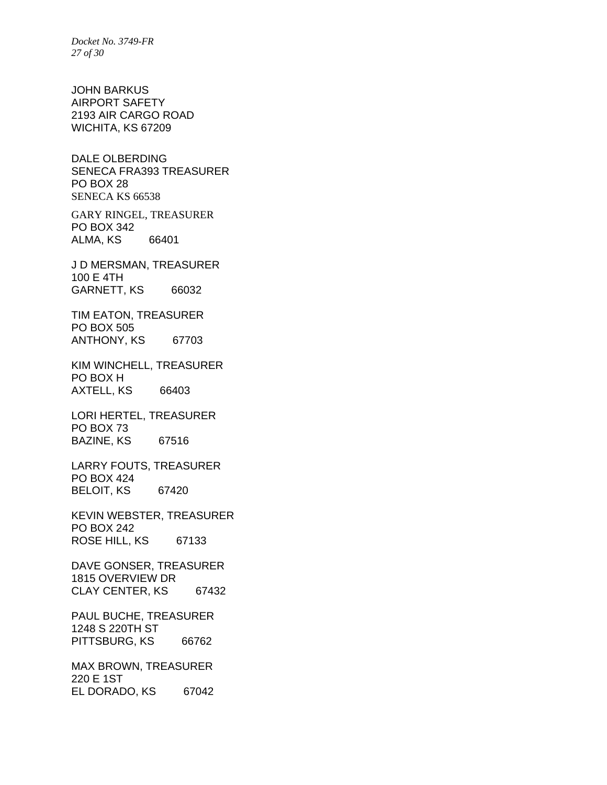*Docket No. 3749-FR 27 of 30* 

JOHN BARKUS AIRPORT SAFETY 2193 AIR CARGO ROAD WICHITA, KS 67209

DALE OLBERDING SENECA FRA393 TREASURER PO BOX 28 SENECA KS 66538

GARY RINGEL, TREASURER PO BOX 342 ALMA, KS 66401

J D MERSMAN, TREASURER 100 E 4TH GARNETT, KS 66032

TIM EATON, TREASURER PO BOX 505 ANTHONY, KS 67703

KIM WINCHELL, TREASURER PO BOX H AXTELL, KS 66403

LORI HERTEL, TREASURER PO BOX 73 BAZINE, KS 67516

LARRY FOUTS, TREASURER PO BOX 424 BELOIT, KS 67420

KEVIN WEBSTER, TREASURER PO BOX 242 ROSE HILL, KS 67133

DAVE GONSER, TREASURER 1815 OVERVIEW DR CLAY CENTER, KS 67432

PAUL BUCHE, TREASURER 1248 S 220TH ST PITTSBURG, KS 66762

MAX BROWN, TREASURER 220 E 1ST EL DORADO, KS 67042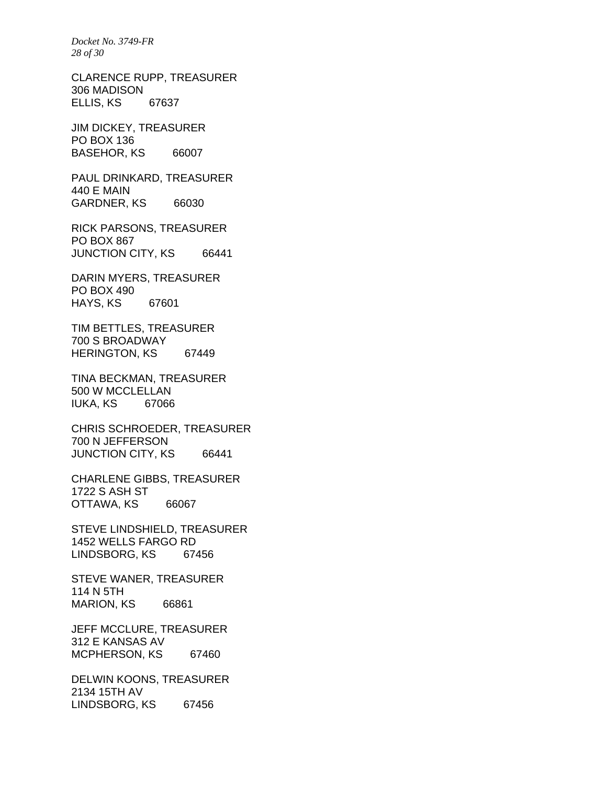*Docket No. 3749-FR 28 of 30* 

CLARENCE RUPP, TREASURER 306 MADISON ELLIS, KS 67637

JIM DICKEY, TREASURER PO BOX 136 BASEHOR, KS 66007

PAUL DRINKARD, TREASURER 440 E MAIN GARDNER, KS 66030

RICK PARSONS, TREASURER PO BOX 867 JUNCTION CITY, KS 66441

DARIN MYERS, TREASURER PO BOX 490 HAYS, KS 67601

TIM BETTLES, TREASURER 700 S BROADWAY HERINGTON, KS 67449

TINA BECKMAN, TREASURER 500 W MCCLELLAN IUKA, KS 67066

CHRIS SCHROEDER, TREASURER 700 N JEFFERSON JUNCTION CITY, KS 66441

CHARLENE GIBBS, TREASURER 1722 S ASH ST OTTAWA, KS 66067

STEVE LINDSHIELD, TREASURER 1452 WELLS FARGO RD LINDSBORG, KS 67456

STEVE WANER, TREASURER 114 N 5TH MARION, KS 66861

JEFF MCCLURE, TREASURER 312 E KANSAS AV MCPHERSON, KS 67460

DELWIN KOONS, TREASURER 2134 15TH AV LINDSBORG, KS 67456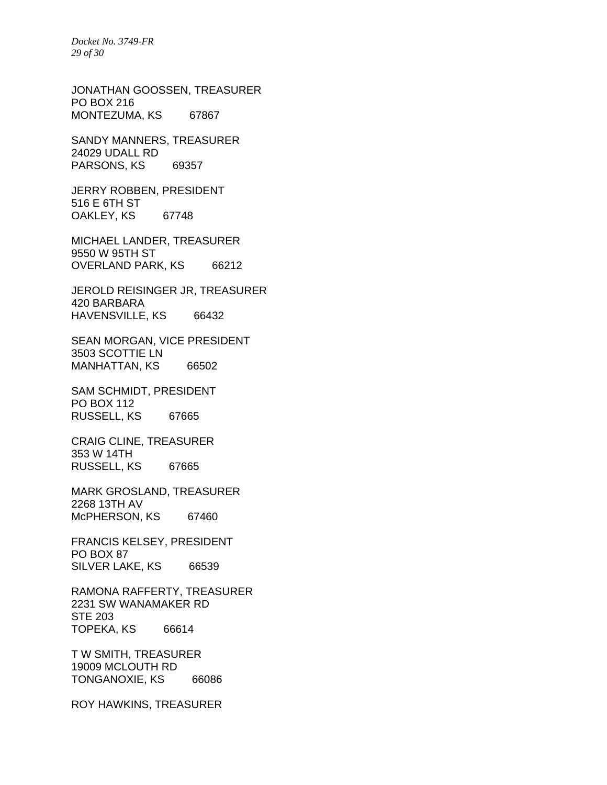*Docket No. 3749-FR 29 of 30* 

JONATHAN GOOSSEN, TREASURER PO BOX 216 MONTEZUMA, KS 67867

SANDY MANNERS, TREASURER 24029 UDALL RD PARSONS, KS 69357

JERRY ROBBEN, PRESIDENT 516 E 6TH ST OAKLEY, KS 67748

MICHAEL LANDER, TREASURER 9550 W 95TH ST OVERLAND PARK, KS 66212

JEROLD REISINGER JR, TREASURER 420 BARBARA HAVENSVILLE, KS 66432

SEAN MORGAN, VICE PRESIDENT 3503 SCOTTIE LN MANHATTAN, KS 66502

SAM SCHMIDT, PRESIDENT PO BOX 112 RUSSELL, KS 67665

CRAIG CLINE, TREASURER 353 W 14TH RUSSELL, KS 67665

MARK GROSLAND, TREASURER 2268 13TH AV McPHERSON, KS 67460

FRANCIS KELSEY, PRESIDENT PO BOX 87 SILVER LAKE, KS 66539

RAMONA RAFFERTY, TREASURER 2231 SW WANAMAKER RD STE 203 TOPEKA, KS 66614

T W SMITH, TREASURER 19009 MCLOUTH RD TONGANOXIE, KS 66086

ROY HAWKINS, TREASURER